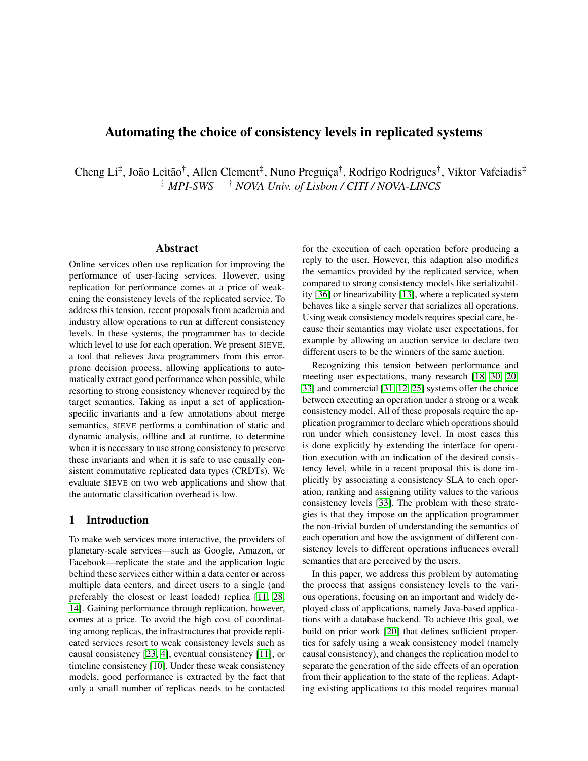# Automating the choice of consistency levels in replicated systems

Cheng Li<sup>‡</sup>, João Leitão<sup>†</sup>, Allen Clement<sup>‡</sup>, Nuno Preguiça<sup>†</sup>, Rodrigo Rodrigues<sup>†</sup>, Viktor Vafeiadis<sup>‡</sup> ‡ *MPI-SWS* † *NOVA Univ. of Lisbon / CITI / NOVA-LINCS*

#### Abstract

Online services often use replication for improving the performance of user-facing services. However, using replication for performance comes at a price of weakening the consistency levels of the replicated service. To address this tension, recent proposals from academia and industry allow operations to run at different consistency levels. In these systems, the programmer has to decide which level to use for each operation. We present SIEVE, a tool that relieves Java programmers from this errorprone decision process, allowing applications to automatically extract good performance when possible, while resorting to strong consistency whenever required by the target semantics. Taking as input a set of applicationspecific invariants and a few annotations about merge semantics, SIEVE performs a combination of static and dynamic analysis, offline and at runtime, to determine when it is necessary to use strong consistency to preserve these invariants and when it is safe to use causally consistent commutative replicated data types (CRDTs). We evaluate SIEVE on two web applications and show that the automatic classification overhead is low.

### 1 Introduction

To make web services more interactive, the providers of planetary-scale services—such as Google, Amazon, or Facebook—replicate the state and the application logic behind these services either within a data center or across multiple data centers, and direct users to a single (and preferably the closest or least loaded) replica [\[11,](#page-11-0) [28,](#page-11-1) [14\]](#page-11-2). Gaining performance through replication, however, comes at a price. To avoid the high cost of coordinating among replicas, the infrastructures that provide replicated services resort to weak consistency levels such as causal consistency [\[23,](#page-11-3) [4\]](#page-11-4), eventual consistency [\[11\]](#page-11-0), or timeline consistency [\[10\]](#page-11-5). Under these weak consistency models, good performance is extracted by the fact that only a small number of replicas needs to be contacted for the execution of each operation before producing a reply to the user. However, this adaption also modifies the semantics provided by the replicated service, when compared to strong consistency models like serializability [\[36\]](#page-11-6) or linearizability [\[13\]](#page-11-7), where a replicated system behaves like a single server that serializes all operations. Using weak consistency models requires special care, because their semantics may violate user expectations, for example by allowing an auction service to declare two different users to be the winners of the same auction.

Recognizing this tension between performance and meeting user expectations, many research [\[18,](#page-11-8) [30,](#page-11-9) [20,](#page-11-10) [33\]](#page-11-11) and commercial [\[31,](#page-11-12) [12,](#page-11-13) [25\]](#page-11-14) systems offer the choice between executing an operation under a strong or a weak consistency model. All of these proposals require the application programmer to declare which operations should run under which consistency level. In most cases this is done explicitly by extending the interface for operation execution with an indication of the desired consistency level, while in a recent proposal this is done implicitly by associating a consistency SLA to each operation, ranking and assigning utility values to the various consistency levels [\[33\]](#page-11-11). The problem with these strategies is that they impose on the application programmer the non-trivial burden of understanding the semantics of each operation and how the assignment of different consistency levels to different operations influences overall semantics that are perceived by the users.

In this paper, we address this problem by automating the process that assigns consistency levels to the various operations, focusing on an important and widely deployed class of applications, namely Java-based applications with a database backend. To achieve this goal, we build on prior work [\[20\]](#page-11-10) that defines sufficient properties for safely using a weak consistency model (namely causal consistency), and changes the replication model to separate the generation of the side effects of an operation from their application to the state of the replicas. Adapting existing applications to this model requires manual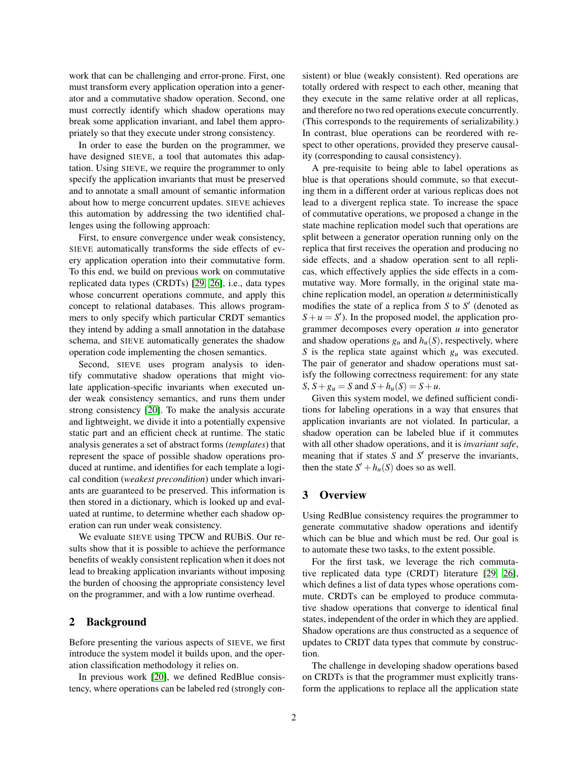work that can be challenging and error-prone. First, one must transform every application operation into a generator and a commutative shadow operation. Second, one must correctly identify which shadow operations may break some application invariant, and label them appropriately so that they execute under strong consistency.

In order to ease the burden on the programmer, we have designed SIEVE, a tool that automates this adaptation. Using SIEVE, we require the programmer to only specify the application invariants that must be preserved and to annotate a small amount of semantic information about how to merge concurrent updates. SIEVE achieves this automation by addressing the two identified challenges using the following approach:

First, to ensure convergence under weak consistency, SIEVE automatically transforms the side effects of every application operation into their commutative form. To this end, we build on previous work on commutative replicated data types (CRDTs) [\[29,](#page-11-15) [26\]](#page-11-16), i.e., data types whose concurrent operations commute, and apply this concept to relational databases. This allows programmers to only specify which particular CRDT semantics they intend by adding a small annotation in the database schema, and SIEVE automatically generates the shadow operation code implementing the chosen semantics.

Second, SIEVE uses program analysis to identify commutative shadow operations that might violate application-specific invariants when executed under weak consistency semantics, and runs them under strong consistency [\[20\]](#page-11-10). To make the analysis accurate and lightweight, we divide it into a potentially expensive static part and an efficient check at runtime. The static analysis generates a set of abstract forms (*templates*) that represent the space of possible shadow operations produced at runtime, and identifies for each template a logical condition (*weakest precondition*) under which invariants are guaranteed to be preserved. This information is then stored in a dictionary, which is looked up and evaluated at runtime, to determine whether each shadow operation can run under weak consistency.

We evaluate SIEVE using TPCW and RUBiS. Our results show that it is possible to achieve the performance benefits of weakly consistent replication when it does not lead to breaking application invariants without imposing the burden of choosing the appropriate consistency level on the programmer, and with a low runtime overhead.

### <span id="page-1-0"></span>2 Background

Before presenting the various aspects of SIEVE, we first introduce the system model it builds upon, and the operation classification methodology it relies on.

In previous work [\[20\]](#page-11-10), we defined RedBlue consistency, where operations can be labeled red (strongly consistent) or blue (weakly consistent). Red operations are totally ordered with respect to each other, meaning that they execute in the same relative order at all replicas, and therefore no two red operations execute concurrently. (This corresponds to the requirements of serializability.) In contrast, blue operations can be reordered with respect to other operations, provided they preserve causality (corresponding to causal consistency).

A pre-requisite to being able to label operations as blue is that operations should commute, so that executing them in a different order at various replicas does not lead to a divergent replica state. To increase the space of commutative operations, we proposed a change in the state machine replication model such that operations are split between a generator operation running only on the replica that first receives the operation and producing no side effects, and a shadow operation sent to all replicas, which effectively applies the side effects in a commutative way. More formally, in the original state machine replication model, an operation *u* deterministically modifies the state of a replica from  $S$  to  $S'$  (denoted as  $S + u = S'$ ). In the proposed model, the application programmer decomposes every operation *u* into generator and shadow operations  $g_u$  and  $h_u(S)$ , respectively, where *S* is the replica state against which *g<sup>u</sup>* was executed. The pair of generator and shadow operations must satisfy the following correctness requirement: for any state *S*,  $S + g_u = S$  and  $S + h_u(S) = S + u$ .

Given this system model, we defined sufficient conditions for labeling operations in a way that ensures that application invariants are not violated. In particular, a shadow operation can be labeled blue if it commutes with all other shadow operations, and it is *invariant safe*, meaning that if states  $S$  and  $S'$  preserve the invariants, then the state  $S' + h_u(S)$  does so as well.

### <span id="page-1-1"></span>3 Overview

Using RedBlue consistency requires the programmer to generate commutative shadow operations and identify which can be blue and which must be red. Our goal is to automate these two tasks, to the extent possible.

For the first task, we leverage the rich commutative replicated data type (CRDT) literature [\[29,](#page-11-15) [26\]](#page-11-16), which defines a list of data types whose operations commute. CRDTs can be employed to produce commutative shadow operations that converge to identical final states, independent of the order in which they are applied. Shadow operations are thus constructed as a sequence of updates to CRDT data types that commute by construction.

The challenge in developing shadow operations based on CRDTs is that the programmer must explicitly transform the applications to replace all the application state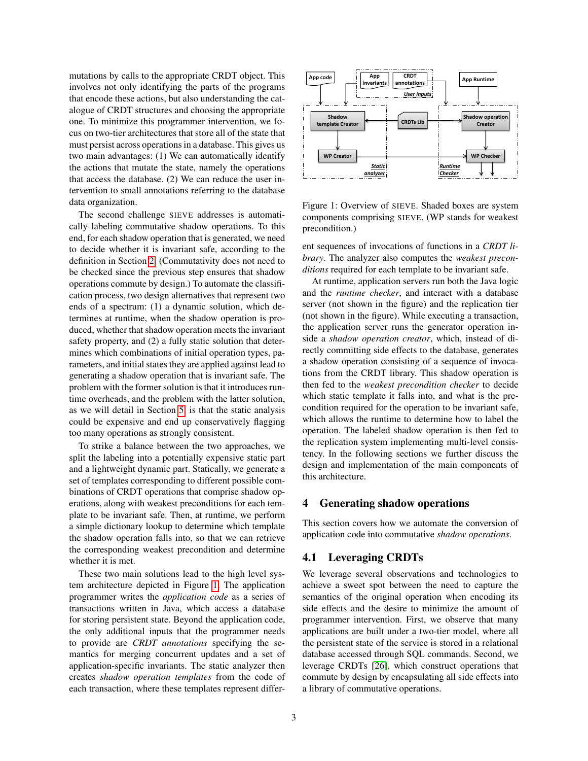mutations by calls to the appropriate CRDT object. This involves not only identifying the parts of the programs that encode these actions, but also understanding the catalogue of CRDT structures and choosing the appropriate one. To minimize this programmer intervention, we focus on two-tier architectures that store all of the state that must persist across operations in a database. This gives us two main advantages: (1) We can automatically identify the actions that mutate the state, namely the operations that access the database. (2) We can reduce the user intervention to small annotations referring to the database data organization.

The second challenge SIEVE addresses is automatically labeling commutative shadow operations. To this end, for each shadow operation that is generated, we need to decide whether it is invariant safe, according to the definition in Section [2.](#page-1-0) (Commutativity does not need to be checked since the previous step ensures that shadow operations commute by design.) To automate the classification process, two design alternatives that represent two ends of a spectrum: (1) a dynamic solution, which determines at runtime, when the shadow operation is produced, whether that shadow operation meets the invariant safety property, and (2) a fully static solution that determines which combinations of initial operation types, parameters, and initial states they are applied against lead to generating a shadow operation that is invariant safe. The problem with the former solution is that it introduces runtime overheads, and the problem with the latter solution, as we will detail in Section [5,](#page-4-0) is that the static analysis could be expensive and end up conservatively flagging too many operations as strongly consistent.

To strike a balance between the two approaches, we split the labeling into a potentially expensive static part and a lightweight dynamic part. Statically, we generate a set of templates corresponding to different possible combinations of CRDT operations that comprise shadow operations, along with weakest preconditions for each template to be invariant safe. Then, at runtime, we perform a simple dictionary lookup to determine which template the shadow operation falls into, so that we can retrieve the corresponding weakest precondition and determine whether it is met.

These two main solutions lead to the high level system architecture depicted in Figure [1.](#page-2-0) The application programmer writes the *application code* as a series of transactions written in Java, which access a database for storing persistent state. Beyond the application code, the only additional inputs that the programmer needs to provide are *CRDT annotations* specifying the semantics for merging concurrent updates and a set of application-specific invariants. The static analyzer then creates *shadow operation templates* from the code of each transaction, where these templates represent differ-



<span id="page-2-0"></span>Figure 1: Overview of SIEVE. Shaded boxes are system components comprising SIEVE. (WP stands for weakest precondition.)

ent sequences of invocations of functions in a *CRDT library*. The analyzer also computes the *weakest preconditions* required for each template to be invariant safe.

At runtime, application servers run both the Java logic and the *runtime checker*, and interact with a database server (not shown in the figure) and the replication tier (not shown in the figure). While executing a transaction, the application server runs the generator operation inside a *shadow operation creator*, which, instead of directly committing side effects to the database, generates a shadow operation consisting of a sequence of invocations from the CRDT library. This shadow operation is then fed to the *weakest precondition checker* to decide which static template it falls into, and what is the precondition required for the operation to be invariant safe, which allows the runtime to determine how to label the operation. The labeled shadow operation is then fed to the replication system implementing multi-level consistency. In the following sections we further discuss the design and implementation of the main components of this architecture.

### <span id="page-2-1"></span>4 Generating shadow operations

This section covers how we automate the conversion of application code into commutative *shadow operations*.

### 4.1 Leveraging CRDTs

We leverage several observations and technologies to achieve a sweet spot between the need to capture the semantics of the original operation when encoding its side effects and the desire to minimize the amount of programmer intervention. First, we observe that many applications are built under a two-tier model, where all the persistent state of the service is stored in a relational database accessed through SQL commands. Second, we leverage CRDTs [\[26\]](#page-11-16), which construct operations that commute by design by encapsulating all side effects into a library of commutative operations.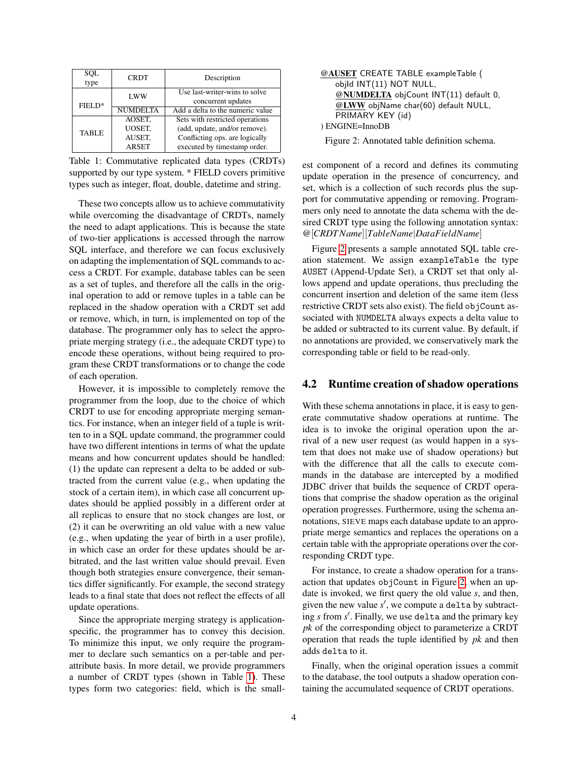| SQL<br>type  | <b>CRDT</b>     | Description                      |  |  |
|--------------|-----------------|----------------------------------|--|--|
|              | LWW             | Use last-writer-wins to solve    |  |  |
| $FIELD*$     |                 | concurrent updates               |  |  |
|              | <b>NUMDELTA</b> | Add a delta to the numeric value |  |  |
|              | AOSET.          | Sets with restricted operations  |  |  |
| <b>TABLE</b> | UOSET.          | (add, update, and/or remove).    |  |  |
|              | AUSET.          | Conflicting ops. are logically   |  |  |
|              | <b>ARSET</b>    | executed by timestamp order.     |  |  |

Table 1: Commutative replicated data types (CRDTs) supported by our type system. \* FIELD covers primitive types such as integer, float, double, datetime and string.

These two concepts allow us to achieve commutativity while overcoming the disadvantage of CRDTs, namely the need to adapt applications. This is because the state of two-tier applications is accessed through the narrow SQL interface, and therefore we can focus exclusively on adapting the implementation of SQL commands to access a CRDT. For example, database tables can be seen as a set of tuples, and therefore all the calls in the original operation to add or remove tuples in a table can be replaced in the shadow operation with a CRDT set add or remove, which, in turn, is implemented on top of the database. The programmer only has to select the appropriate merging strategy (i.e., the adequate CRDT type) to encode these operations, without being required to program these CRDT transformations or to change the code of each operation.

However, it is impossible to completely remove the programmer from the loop, due to the choice of which CRDT to use for encoding appropriate merging semantics. For instance, when an integer field of a tuple is written to in a SQL update command, the programmer could have two different intentions in terms of what the update means and how concurrent updates should be handled: (1) the update can represent a delta to be added or subtracted from the current value (e.g., when updating the stock of a certain item), in which case all concurrent updates should be applied possibly in a different order at all replicas to ensure that no stock changes are lost, or (2) it can be overwriting an old value with a new value (e.g., when updating the year of birth in a user profile), in which case an order for these updates should be arbitrated, and the last written value should prevail. Even though both strategies ensure convergence, their semantics differ significantly. For example, the second strategy leads to a final state that does not reflect the effects of all update operations.

Since the appropriate merging strategy is applicationspecific, the programmer has to convey this decision. To minimize this input, we only require the programmer to declare such semantics on a per-table and perattribute basis. In more detail, we provide programmers a number of CRDT types (shown in Table [1\)](#page-3-0). These types form two categories: field, which is the small-

<span id="page-3-0"></span>

<span id="page-3-1"></span>Figure 2: Annotated table definition schema.

est component of a record and defines its commuting update operation in the presence of concurrency, and set, which is a collection of such records plus the support for commutative appending or removing. Programmers only need to annotate the data schema with the desired CRDT type using the following annotation syntax: @[*CRDTName*][*TableName*|*DataFieldName*]

Figure [2](#page-3-1) presents a sample annotated SQL table creation statement. We assign exampleTable the type AUSET (Append-Update Set), a CRDT set that only allows append and update operations, thus precluding the concurrent insertion and deletion of the same item (less restrictive CRDT sets also exist). The field objCount associated with NUMDELTA always expects a delta value to be added or subtracted to its current value. By default, if no annotations are provided, we conservatively mark the corresponding table or field to be read-only.

### 4.2 Runtime creation of shadow operations

With these schema annotations in place, it is easy to generate commutative shadow operations at runtime. The idea is to invoke the original operation upon the arrival of a new user request (as would happen in a system that does not make use of shadow operations) but with the difference that all the calls to execute commands in the database are intercepted by a modified JDBC driver that builds the sequence of CRDT operations that comprise the shadow operation as the original operation progresses. Furthermore, using the schema annotations, SIEVE maps each database update to an appropriate merge semantics and replaces the operations on a certain table with the appropriate operations over the corresponding CRDT type.

For instance, to create a shadow operation for a transaction that updates objCount in Figure [2,](#page-3-1) when an update is invoked, we first query the old value *s*, and then, given the new value s', we compute a delta by subtracting *s* from *s* 0 . Finally, we use delta and the primary key *pk* of the corresponding object to parameterize a CRDT operation that reads the tuple identified by *pk* and then adds delta to it.

Finally, when the original operation issues a commit to the database, the tool outputs a shadow operation containing the accumulated sequence of CRDT operations.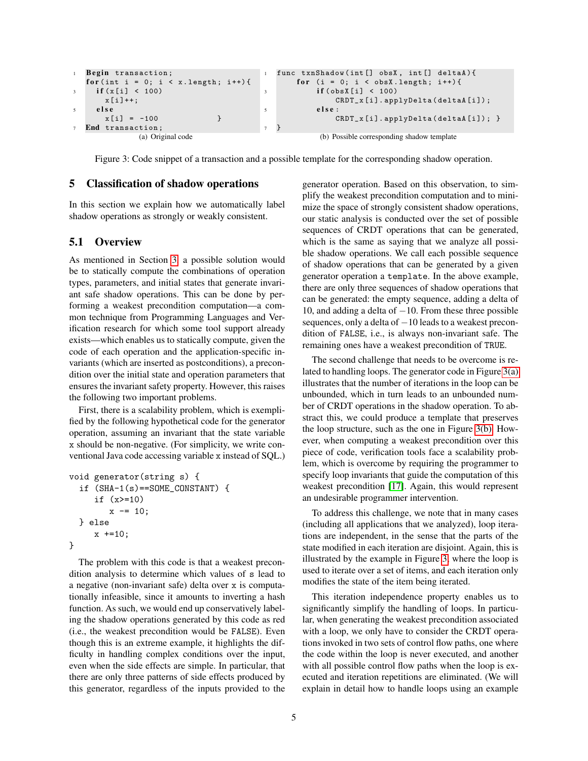```
Begin transaction;
  for (int i = 0; i < x. length; i++) {
     if(x[i] < 100)x[i]++;5 e l s e
       x[i] = -100 }
7 End transaction ;
              (a) Original code
                                            func txnShadow(int[] obsX, int[] deltaA){
                                                for (i = 0; i < obsX.length; i++){
                                                     if (obsX[i] < 100)CRDT_x[i].applyDelta(deltaA[i]);
                                         5 else:
                                                         CRDT_x[i].applyDelta(deltaA[i]); }
                                          7 }
                                                      (b) Possible corresponding shadow template
```
<span id="page-4-1"></span>Figure 3: Code snippet of a transaction and a possible template for the corresponding shadow operation.

### <span id="page-4-0"></span>5 Classification of shadow operations

In this section we explain how we automatically label shadow operations as strongly or weakly consistent.

### 5.1 Overview

As mentioned in Section [3,](#page-1-1) a possible solution would be to statically compute the combinations of operation types, parameters, and initial states that generate invariant safe shadow operations. This can be done by performing a weakest precondition computation—a common technique from Programming Languages and Verification research for which some tool support already exists—which enables us to statically compute, given the code of each operation and the application-specific invariants (which are inserted as postconditions), a precondition over the initial state and operation parameters that ensures the invariant safety property. However, this raises the following two important problems.

First, there is a scalability problem, which is exemplified by the following hypothetical code for the generator operation, assuming an invariant that the state variable x should be non-negative. (For simplicity, we write conventional Java code accessing variable x instead of SQL.)

```
void generator(string s) {
  if (SHA-1(s)==SOME_CONSTANT) {
     if (x>=10)
        x = 10;
  } else
     x +=10;
}
```
The problem with this code is that a weakest precondition analysis to determine which values of s lead to a negative (non-invariant safe) delta over x is computationally infeasible, since it amounts to inverting a hash function. As such, we would end up conservatively labeling the shadow operations generated by this code as red (i.e., the weakest precondition would be FALSE). Even though this is an extreme example, it highlights the difficulty in handling complex conditions over the input, even when the side effects are simple. In particular, that there are only three patterns of side effects produced by this generator, regardless of the inputs provided to the <span id="page-4-3"></span><span id="page-4-2"></span>generator operation. Based on this observation, to simplify the weakest precondition computation and to minimize the space of strongly consistent shadow operations, our static analysis is conducted over the set of possible sequences of CRDT operations that can be generated, which is the same as saying that we analyze all possible shadow operations. We call each possible sequence of shadow operations that can be generated by a given generator operation a template. In the above example, there are only three sequences of shadow operations that can be generated: the empty sequence, adding a delta of 10, and adding a delta of  $-10$ . From these three possible sequences, only a delta of −10 leads to a weakest precondition of FALSE, i.e., is always non-invariant safe. The remaining ones have a weakest precondition of TRUE.

The second challenge that needs to be overcome is related to handling loops. The generator code in Figure [3\(a\)](#page-4-1) illustrates that the number of iterations in the loop can be unbounded, which in turn leads to an unbounded number of CRDT operations in the shadow operation. To abstract this, we could produce a template that preserves the loop structure, such as the one in Figure [3\(b\).](#page-4-2) However, when computing a weakest precondition over this piece of code, verification tools face a scalability problem, which is overcome by requiring the programmer to specify loop invariants that guide the computation of this weakest precondition [\[17\]](#page-11-17). Again, this would represent an undesirable programmer intervention.

To address this challenge, we note that in many cases (including all applications that we analyzed), loop iterations are independent, in the sense that the parts of the state modified in each iteration are disjoint. Again, this is illustrated by the example in Figure [3,](#page-4-3) where the loop is used to iterate over a set of items, and each iteration only modifies the state of the item being iterated.

This iteration independence property enables us to significantly simplify the handling of loops. In particular, when generating the weakest precondition associated with a loop, we only have to consider the CRDT operations invoked in two sets of control flow paths, one where the code within the loop is never executed, and another with all possible control flow paths when the loop is executed and iteration repetitions are eliminated. (We will explain in detail how to handle loops using an example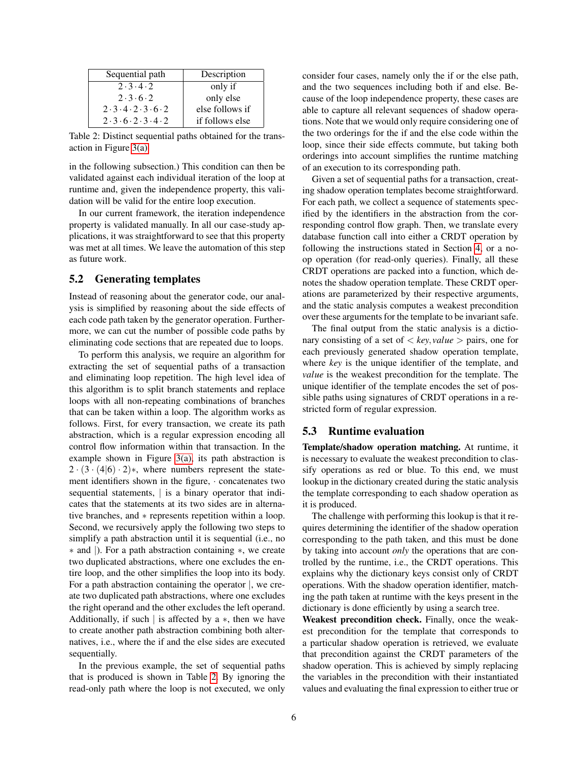| Sequential path                                     | Description     |  |  |
|-----------------------------------------------------|-----------------|--|--|
| 2.3.4.2                                             | only if         |  |  |
| 2.3.6.2                                             | only else       |  |  |
| $2 \cdot 3 \cdot 4 \cdot 2 \cdot 3 \cdot 6 \cdot 2$ | else follows if |  |  |
| 2.3.6.2.3.4.2                                       | if follows else |  |  |

Table 2: Distinct sequential paths obtained for the transaction in Figure [3\(a\).](#page-4-1)

in the following subsection.) This condition can then be validated against each individual iteration of the loop at runtime and, given the independence property, this validation will be valid for the entire loop execution.

In our current framework, the iteration independence property is validated manually. In all our case-study applications, it was straightforward to see that this property was met at all times. We leave the automation of this step as future work.

## 5.2 Generating templates

Instead of reasoning about the generator code, our analysis is simplified by reasoning about the side effects of each code path taken by the generator operation. Furthermore, we can cut the number of possible code paths by eliminating code sections that are repeated due to loops.

To perform this analysis, we require an algorithm for extracting the set of sequential paths of a transaction and eliminating loop repetition. The high level idea of this algorithm is to split branch statements and replace loops with all non-repeating combinations of branches that can be taken within a loop. The algorithm works as follows. First, for every transaction, we create its path abstraction, which is a regular expression encoding all control flow information within that transaction. In the example shown in Figure [3\(a\),](#page-4-1) its path abstraction is  $2 \cdot (3 \cdot (4|6) \cdot 2)$ \*, where numbers represent the statement identifiers shown in the figure, · concatenates two sequential statements, is a binary operator that indicates that the statements at its two sides are in alternative branches, and ∗ represents repetition within a loop. Second, we recursively apply the following two steps to simplify a path abstraction until it is sequential (i.e., no ∗ and |). For a path abstraction containing ∗, we create two duplicated abstractions, where one excludes the entire loop, and the other simplifies the loop into its body. For a path abstraction containing the operator  $\vert$ , we create two duplicated path abstractions, where one excludes the right operand and the other excludes the left operand. Additionally, if such  $\vert$  is affected by a  $\ast$ , then we have to create another path abstraction combining both alternatives, i.e., where the if and the else sides are executed sequentially.

In the previous example, the set of sequential paths that is produced is shown in Table [2.](#page-5-0) By ignoring the read-only path where the loop is not executed, we only <span id="page-5-0"></span>consider four cases, namely only the if or the else path, and the two sequences including both if and else. Because of the loop independence property, these cases are able to capture all relevant sequences of shadow operations. Note that we would only require considering one of the two orderings for the if and the else code within the loop, since their side effects commute, but taking both orderings into account simplifies the runtime matching of an execution to its corresponding path.

Given a set of sequential paths for a transaction, creating shadow operation templates become straightforward. For each path, we collect a sequence of statements specified by the identifiers in the abstraction from the corresponding control flow graph. Then, we translate every database function call into either a CRDT operation by following the instructions stated in Section [4,](#page-2-1) or a noop operation (for read-only queries). Finally, all these CRDT operations are packed into a function, which denotes the shadow operation template. These CRDT operations are parameterized by their respective arguments, and the static analysis computes a weakest precondition over these arguments for the template to be invariant safe.

The final output from the static analysis is a dictionary consisting of a set of  $\langle key, value \rangle$  pairs, one for each previously generated shadow operation template, where *key* is the unique identifier of the template, and *value* is the weakest precondition for the template. The unique identifier of the template encodes the set of possible paths using signatures of CRDT operations in a restricted form of regular expression.

### 5.3 Runtime evaluation

Template/shadow operation matching. At runtime, it is necessary to evaluate the weakest precondition to classify operations as red or blue. To this end, we must lookup in the dictionary created during the static analysis the template corresponding to each shadow operation as it is produced.

The challenge with performing this lookup is that it requires determining the identifier of the shadow operation corresponding to the path taken, and this must be done by taking into account *only* the operations that are controlled by the runtime, i.e., the CRDT operations. This explains why the dictionary keys consist only of CRDT operations. With the shadow operation identifier, matching the path taken at runtime with the keys present in the dictionary is done efficiently by using a search tree.

Weakest precondition check. Finally, once the weakest precondition for the template that corresponds to a particular shadow operation is retrieved, we evaluate that precondition against the CRDT parameters of the shadow operation. This is achieved by simply replacing the variables in the precondition with their instantiated values and evaluating the final expression to either true or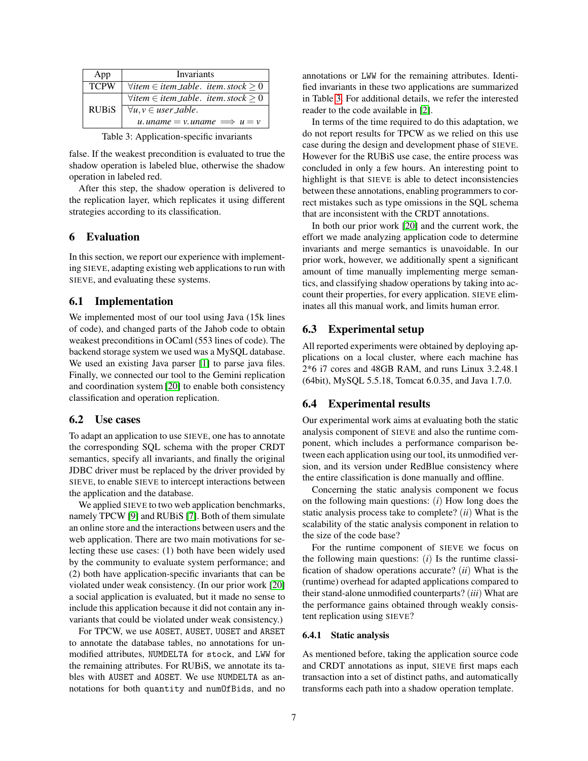| App          | Invariants                                           |  |  |  |  |
|--------------|------------------------------------------------------|--|--|--|--|
| <b>TCPW</b>  | $\forall$ item $\in$ item_table. item.stock $\geq 0$ |  |  |  |  |
|              | $\forall$ item $\in$ item_table. item.stock $\geq 0$ |  |  |  |  |
| <b>RUBiS</b> | $\forall u, v \in user\_table.$                      |  |  |  |  |
|              | u. uname = v. uname $\implies u = v$                 |  |  |  |  |
| .            |                                                      |  |  |  |  |

Table 3: Application-specific invariants

false. If the weakest precondition is evaluated to true the shadow operation is labeled blue, otherwise the shadow operation in labeled red.

After this step, the shadow operation is delivered to the replication layer, which replicates it using different strategies according to its classification.

### 6 Evaluation

In this section, we report our experience with implementing SIEVE, adapting existing web applications to run with SIEVE, and evaluating these systems.

### 6.1 Implementation

We implemented most of our tool using Java (15k lines of code), and changed parts of the Jahob code to obtain weakest preconditions in OCaml (553 lines of code). The backend storage system we used was a MySQL database. We used an existing Java parser [\[1\]](#page-10-0) to parse java files. Finally, we connected our tool to the Gemini replication and coordination system [\[20\]](#page-11-10) to enable both consistency classification and operation replication.

### 6.2 Use cases

To adapt an application to use SIEVE, one has to annotate the corresponding SQL schema with the proper CRDT semantics, specify all invariants, and finally the original JDBC driver must be replaced by the driver provided by SIEVE, to enable SIEVE to intercept interactions between the application and the database.

We applied SIEVE to two web application benchmarks, namely TPCW [\[9\]](#page-11-18) and RUBiS [\[7\]](#page-11-19). Both of them simulate an online store and the interactions between users and the web application. There are two main motivations for selecting these use cases: (1) both have been widely used by the community to evaluate system performance; and (2) both have application-specific invariants that can be violated under weak consistency. (In our prior work [\[20\]](#page-11-10) a social application is evaluated, but it made no sense to include this application because it did not contain any invariants that could be violated under weak consistency.)

For TPCW, we use AOSET, AUSET, UOSET and ARSET to annotate the database tables, no annotations for unmodified attributes, NUMDELTA for stock, and LWW for the remaining attributes. For RUBiS, we annotate its tables with AUSET and AOSET. We use NUMDELTA as annotations for both quantity and numOfBids, and no <span id="page-6-0"></span>annotations or LWW for the remaining attributes. Identified invariants in these two applications are summarized in Table [3.](#page-6-0) For additional details, we refer the interested reader to the code available in [\[2\]](#page-10-1).

In terms of the time required to do this adaptation, we do not report results for TPCW as we relied on this use case during the design and development phase of SIEVE. However for the RUBiS use case, the entire process was concluded in only a few hours. An interesting point to highlight is that SIEVE is able to detect inconsistencies between these annotations, enabling programmers to correct mistakes such as type omissions in the SQL schema that are inconsistent with the CRDT annotations.

In both our prior work [\[20\]](#page-11-10) and the current work, the effort we made analyzing application code to determine invariants and merge semantics is unavoidable. In our prior work, however, we additionally spent a significant amount of time manually implementing merge semantics, and classifying shadow operations by taking into account their properties, for every application. SIEVE eliminates all this manual work, and limits human error.

### 6.3 Experimental setup

All reported experiments were obtained by deploying applications on a local cluster, where each machine has 2\*6 i7 cores and 48GB RAM, and runs Linux 3.2.48.1 (64bit), MySQL 5.5.18, Tomcat 6.0.35, and Java 1.7.0.

### 6.4 Experimental results

Our experimental work aims at evaluating both the static analysis component of SIEVE and also the runtime component, which includes a performance comparison between each application using our tool, its unmodified version, and its version under RedBlue consistency where the entire classification is done manually and offline.

Concerning the static analysis component we focus on the following main questions: (*i*) How long does the static analysis process take to complete? (*ii*) What is the scalability of the static analysis component in relation to the size of the code base?

For the runtime component of SIEVE we focus on the following main questions: (*i*) Is the runtime classification of shadow operations accurate? (*ii*) What is the (runtime) overhead for adapted applications compared to their stand-alone unmodified counterparts? (*iii*) What are the performance gains obtained through weakly consistent replication using SIEVE?

#### 6.4.1 Static analysis

As mentioned before, taking the application source code and CRDT annotations as input, SIEVE first maps each transaction into a set of distinct paths, and automatically transforms each path into a shadow operation template.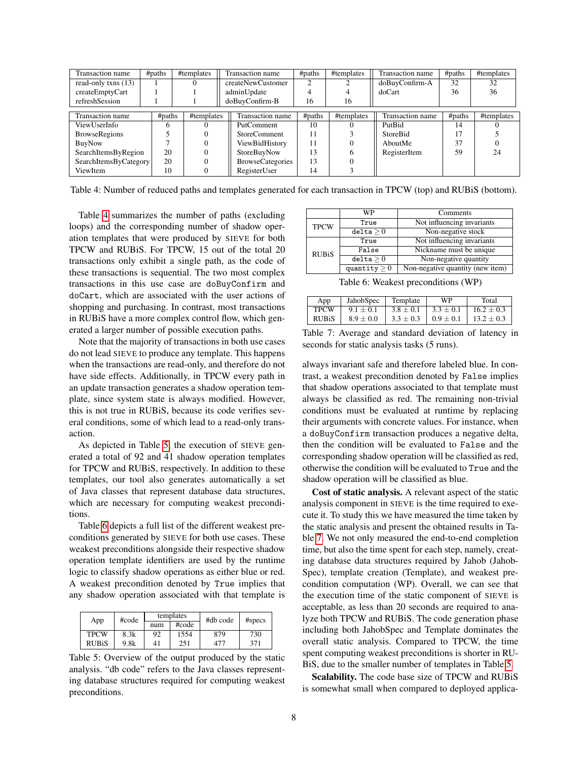| Transaction name      | #paths       | #templates | Transaction name        | #paths | #templates | Transaction name | #paths | #templates |
|-----------------------|--------------|------------|-------------------------|--------|------------|------------------|--------|------------|
| read-only txns (13)   |              |            | createNewCustomer       | ◠      |            | doBuyConfirm-A   | 32     | 32         |
| createEmptyCart       |              |            | adminUpdate             | 4      |            | doCart           | 36     | 36         |
| refreshSession        |              |            | doBuyConfirm-B          | 16     | 16         |                  |        |            |
|                       |              |            |                         |        |            |                  |        |            |
| Transaction name      | #paths       | #templates | Transaction name        | #paths | #templates | Transaction name | #paths | #templates |
| ViewUserInfo          | <sub>(</sub> |            | PutComment              | 10     |            | PutBid           | 14     |            |
| <b>BrowseRegions</b>  |              |            | <b>StoreComment</b>     | 11     |            | <b>StoreBid</b>  |        |            |
| BuyNow                |              |            | ViewBidHistory          | 11     |            | AboutMe          | 37     |            |
| SearchItemsByRegion   | 20           |            | StoreBuyNow             | 13     |            | RegisterItem     | 59     | 24         |
| SearchItemsByCategory | 20           |            | <b>BrowseCategories</b> | 13     |            |                  |        |            |
| ViewItem              | 10           |            | RegisterUser            | 14     |            |                  |        |            |

<span id="page-7-0"></span>Table 4: Number of reduced paths and templates generated for each transaction in TPCW (top) and RUBiS (bottom).

Table [4](#page-7-0) summarizes the number of paths (excluding loops) and the corresponding number of shadow operation templates that were produced by SIEVE for both TPCW and RUBiS. For TPCW, 15 out of the total 20 transactions only exhibit a single path, as the code of these transactions is sequential. The two most complex transactions in this use case are doBuyConfirm and doCart, which are associated with the user actions of shopping and purchasing. In contrast, most transactions in RUBiS have a more complex control flow, which generated a larger number of possible execution paths.

Note that the majority of transactions in both use cases do not lead SIEVE to produce any template. This happens when the transactions are read-only, and therefore do not have side effects. Additionally, in TPCW every path in an update transaction generates a shadow operation template, since system state is always modified. However, this is not true in RUBiS, because its code verifies several conditions, some of which lead to a read-only transaction.

As depicted in Table [5,](#page-7-1) the execution of SIEVE generated a total of 92 and 41 shadow operation templates for TPCW and RUBiS, respectively. In addition to these templates, our tool also generates automatically a set of Java classes that represent database data structures, which are necessary for computing weakest preconditions.

Table [6](#page-7-2) depicts a full list of the different weakest preconditions generated by SIEVE for both use cases. These weakest preconditions alongside their respective shadow operation template identifiers are used by the runtime logic to classify shadow operations as either blue or red. A weakest precondition denoted by True implies that any shadow operation associated with that template is

| App          | #code | templates |       | #db code | $#$ specs |  |
|--------------|-------|-----------|-------|----------|-----------|--|
|              |       | num       | #code |          |           |  |
| <b>TPCW</b>  | 8.3k  | 92        | 1554  | 879      | 730       |  |
| <b>RUBIS</b> | 9.8k  | 41        | 251   | 477      | 371       |  |

Table 5: Overview of the output produced by the static analysis. "db code" refers to the Java classes representing database structures required for computing weakest preconditions.

|              | WP                | Comments                         |  |  |
|--------------|-------------------|----------------------------------|--|--|
| <b>TPCW</b>  | True              | Not influencing invariants       |  |  |
|              | delta > 0         | Non-negative stock               |  |  |
| <b>RUBiS</b> | True              | Not influencing invariants       |  |  |
|              | False             | Nickname must be unique          |  |  |
|              | delta > 0         | Non-negative quantity            |  |  |
|              | quantity $\geq 0$ | Non-negative quantity (new item) |  |  |

<span id="page-7-3"></span><span id="page-7-2"></span>Table 6: Weakest preconditions (WP)

| App          | JahobSpec     | Template      | WP            | Total          |
|--------------|---------------|---------------|---------------|----------------|
| <b>TPCW</b>  | $9.1 \pm 0.1$ | $3.8 \pm 0.1$ | $3.3 \pm 0.1$ | $16.2 \pm 0.3$ |
| <b>RUBIS</b> | $8.9 + 0.0$   | $3.3 \pm 0.3$ | $0.9 + 0.1$   | $13.2 \pm 0.3$ |

Table 7: Average and standard deviation of latency in seconds for static analysis tasks  $(5 \text{ runs})$ .

always invariant safe and therefore labeled blue. In contrast, a weakest precondition denoted by False implies that shadow operations associated to that template must always be classified as red. The remaining non-trivial conditions must be evaluated at runtime by replacing their arguments with concrete values. For instance, when a doBuyConfirm transaction produces a negative delta, then the condition will be evaluated to False and the corresponding shadow operation will be classified as red, otherwise the condition will be evaluated to True and the shadow operation will be classified as blue.

Cost of static analysis. A relevant aspect of the static analysis component in SIEVE is the time required to execute it. To study this we have measured the time taken by the static analysis and present the obtained results in Table [7.](#page-7-3) We not only measured the end-to-end completion time, but also the time spent for each step, namely, creating database data structures required by Jahob (Jahob-Spec), template creation (Template), and weakest precondition computation (WP). Overall, we can see that the execution time of the static component of SIEVE is acceptable, as less than 20 seconds are required to analyze both TPCW and RUBiS. The code generation phase including both JahobSpec and Template dominates the overall static analysis. Compared to TPCW, the time spent computing weakest preconditions is shorter in RU-BiS, due to the smaller number of templates in Table [5.](#page-7-1)

<span id="page-7-1"></span>Scalability. The code base size of TPCW and RUBiS is somewhat small when compared to deployed applica-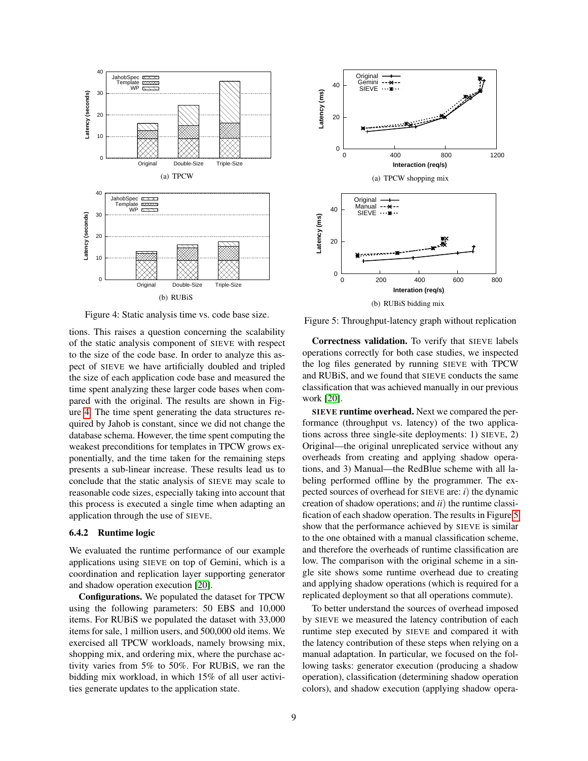

**Original**  $-**-$ Gemini SIEVE 40 Latency (ms) **Latency (ms)** 20 0 0 400 800 1200 **Interaction (req/s)** (a) TPCW shopping mix **Original** Manual  $-++$  40 **SIEVE**  $\cdots$ Latency (ms) **Latency (ms)** 20 綤 0 0 200 400 600 800 **Interation (req/s)** (b) RUBiS bidding mix

<span id="page-8-0"></span>Figure 4: Static analysis time vs. code base size.

tions. This raises a question concerning the scalability of the static analysis component of SIEVE with respect to the size of the code base. In order to analyze this aspect of SIEVE we have artificially doubled and tripled the size of each application code base and measured the time spent analyzing these larger code bases when compared with the original. The results are shown in Figure [4.](#page-8-0) The time spent generating the data structures required by Jahob is constant, since we did not change the database schema. However, the time spent computing the weakest preconditions for templates in TPCW grows exponentially, and the time taken for the remaining steps presents a sub-linear increase. These results lead us to conclude that the static analysis of SIEVE may scale to reasonable code sizes, especially taking into account that this process is executed a single time when adapting an application through the use of SIEVE.

#### 6.4.2 Runtime logic

We evaluated the runtime performance of our example applications using SIEVE on top of Gemini, which is a coordination and replication layer supporting generator and shadow operation execution [\[20\]](#page-11-10).

Configurations. We populated the dataset for TPCW using the following parameters: 50 EBS and 10,000 items. For RUBiS we populated the dataset with 33,000 items for sale, 1 million users, and 500,000 old items. We exercised all TPCW workloads, namely browsing mix, shopping mix, and ordering mix, where the purchase activity varies from 5% to 50%. For RUBiS, we ran the bidding mix workload, in which 15% of all user activities generate updates to the application state.

<span id="page-8-1"></span>Figure 5: Throughput-latency graph without replication

Correctness validation. To verify that SIEVE labels operations correctly for both case studies, we inspected the log files generated by running SIEVE with TPCW and RUBiS, and we found that SIEVE conducts the same classification that was achieved manually in our previous work [\[20\]](#page-11-10).

SIEVE runtime overhead. Next we compared the performance (throughput vs. latency) of the two applications across three single-site deployments: 1) SIEVE, 2) Original—the original unreplicated service without any overheads from creating and applying shadow operations, and 3) Manual—the RedBlue scheme with all labeling performed offline by the programmer. The expected sources of overhead for SIEVE are: *i*) the dynamic creation of shadow operations; and *ii*) the runtime classification of each shadow operation. The results in Figure [5](#page-8-1) show that the performance achieved by SIEVE is similar to the one obtained with a manual classification scheme, and therefore the overheads of runtime classification are low. The comparison with the original scheme in a single site shows some runtime overhead due to creating and applying shadow operations (which is required for a replicated deployment so that all operations commute).

To better understand the sources of overhead imposed by SIEVE we measured the latency contribution of each runtime step executed by SIEVE and compared it with the latency contribution of these steps when relying on a manual adaptation. In particular, we focused on the following tasks: generator execution (producing a shadow operation), classification (determining shadow operation colors), and shadow execution (applying shadow opera-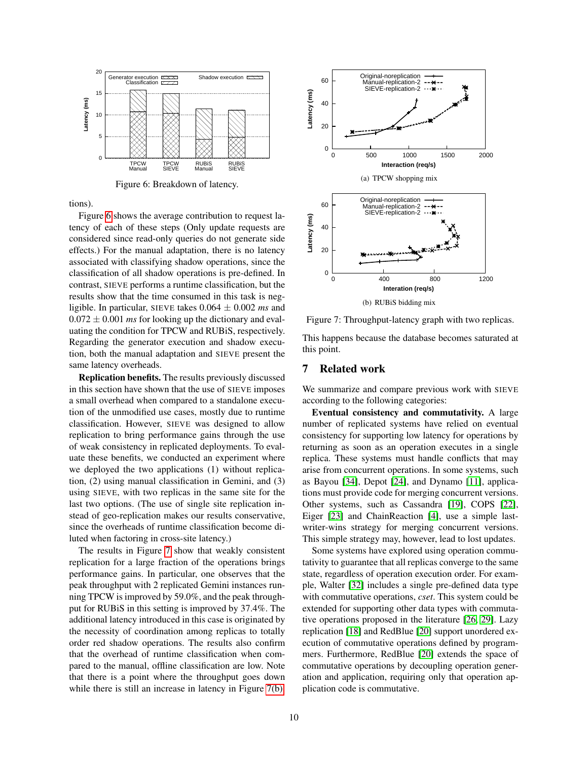

Figure 6: Breakdown of latency.

tions).

Figure [6](#page-9-0) shows the average contribution to request latency of each of these steps (Only update requests are considered since read-only queries do not generate side effects.) For the manual adaptation, there is no latency associated with classifying shadow operations, since the classification of all shadow operations is pre-defined. In contrast, SIEVE performs a runtime classification, but the results show that the time consumed in this task is negligible. In particular, SIEVE takes 0.064 ± 0.002 *ms* and  $0.072 \pm 0.001$  *ms* for looking up the dictionary and evaluating the condition for TPCW and RUBiS, respectively. Regarding the generator execution and shadow execution, both the manual adaptation and SIEVE present the same latency overheads.

Replication benefits. The results previously discussed in this section have shown that the use of SIEVE imposes a small overhead when compared to a standalone execution of the unmodified use cases, mostly due to runtime classification. However, SIEVE was designed to allow replication to bring performance gains through the use of weak consistency in replicated deployments. To evaluate these benefits, we conducted an experiment where we deployed the two applications (1) without replication, (2) using manual classification in Gemini, and (3) using SIEVE, with two replicas in the same site for the last two options. (The use of single site replication instead of geo-replication makes our results conservative, since the overheads of runtime classification become diluted when factoring in cross-site latency.)

The results in Figure [7](#page-9-1) show that weakly consistent replication for a large fraction of the operations brings performance gains. In particular, one observes that the peak throughput with 2 replicated Gemini instances running TPCW is improved by 59.0%, and the peak throughput for RUBiS in this setting is improved by 37.4%. The additional latency introduced in this case is originated by the necessity of coordination among replicas to totally order red shadow operations. The results also confirm that the overhead of runtime classification when compared to the manual, offline classification are low. Note that there is a point where the throughput goes down while there is still an increase in latency in Figure [7\(b\).](#page-9-2)

<span id="page-9-0"></span>

<span id="page-9-2"></span><span id="page-9-1"></span>Figure 7: Throughput-latency graph with two replicas.

This happens because the database becomes saturated at this point.

#### 7 Related work

We summarize and compare previous work with SIEVE according to the following categories:

Eventual consistency and commutativity. A large number of replicated systems have relied on eventual consistency for supporting low latency for operations by returning as soon as an operation executes in a single replica. These systems must handle conflicts that may arise from concurrent operations. In some systems, such as Bayou [\[34\]](#page-11-20), Depot [\[24\]](#page-11-21), and Dynamo [\[11\]](#page-11-0), applications must provide code for merging concurrent versions. Other systems, such as Cassandra [\[19\]](#page-11-22), COPS [\[22\]](#page-11-23), Eiger [\[23\]](#page-11-3) and ChainReaction [\[4\]](#page-11-4), use a simple lastwriter-wins strategy for merging concurrent versions. This simple strategy may, however, lead to lost updates.

Some systems have explored using operation commutativity to guarantee that all replicas converge to the same state, regardless of operation execution order. For example, Walter [\[32\]](#page-11-24) includes a single pre-defined data type with commutative operations, *cset*. This system could be extended for supporting other data types with commutative operations proposed in the literature [\[26,](#page-11-16) [29\]](#page-11-15). Lazy replication [\[18\]](#page-11-8) and RedBlue [\[20\]](#page-11-10) support unordered execution of commutative operations defined by programmers. Furthermore, RedBlue [\[20\]](#page-11-10) extends the space of commutative operations by decoupling operation generation and application, requiring only that operation application code is commutative.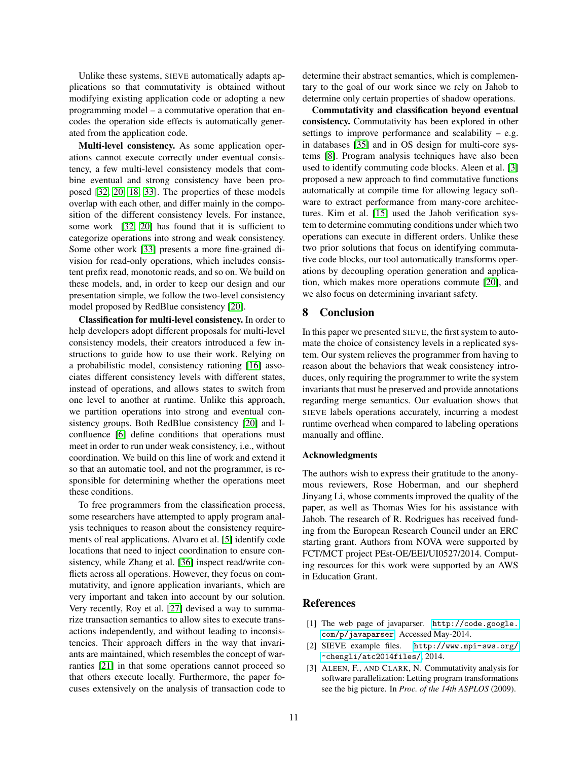Unlike these systems, SIEVE automatically adapts applications so that commutativity is obtained without modifying existing application code or adopting a new programming model – a commutative operation that encodes the operation side effects is automatically generated from the application code.

Multi-level consistency. As some application operations cannot execute correctly under eventual consistency, a few multi-level consistency models that combine eventual and strong consistency have been proposed [\[32,](#page-11-24) [20,](#page-11-10) [18,](#page-11-8) [33\]](#page-11-11). The properties of these models overlap with each other, and differ mainly in the composition of the different consistency levels. For instance, some work [\[32,](#page-11-24) [20\]](#page-11-10) has found that it is sufficient to categorize operations into strong and weak consistency. Some other work [\[33\]](#page-11-11) presents a more fine-grained division for read-only operations, which includes consistent prefix read, monotonic reads, and so on. We build on these models, and, in order to keep our design and our presentation simple, we follow the two-level consistency model proposed by RedBlue consistency [\[20\]](#page-11-10).

Classification for multi-level consistency. In order to help developers adopt different proposals for multi-level consistency models, their creators introduced a few instructions to guide how to use their work. Relying on a probabilistic model, consistency rationing [\[16\]](#page-11-25) associates different consistency levels with different states, instead of operations, and allows states to switch from one level to another at runtime. Unlike this approach, we partition operations into strong and eventual consistency groups. Both RedBlue consistency [\[20\]](#page-11-10) and Iconfluence [\[6\]](#page-11-26) define conditions that operations must meet in order to run under weak consistency, i.e., without coordination. We build on this line of work and extend it so that an automatic tool, and not the programmer, is responsible for determining whether the operations meet these conditions.

To free programmers from the classification process, some researchers have attempted to apply program analysis techniques to reason about the consistency requirements of real applications. Alvaro et al. [\[5\]](#page-11-27) identify code locations that need to inject coordination to ensure consistency, while Zhang et al. [\[36\]](#page-11-6) inspect read/write conflicts across all operations. However, they focus on commutativity, and ignore application invariants, which are very important and taken into account by our solution. Very recently, Roy et al. [\[27\]](#page-11-28) devised a way to summarize transaction semantics to allow sites to execute transactions independently, and without leading to inconsistencies. Their approach differs in the way that invariants are maintained, which resembles the concept of warranties [\[21\]](#page-11-29) in that some operations cannot proceed so that others execute locally. Furthermore, the paper focuses extensively on the analysis of transaction code to determine their abstract semantics, which is complementary to the goal of our work since we rely on Jahob to determine only certain properties of shadow operations.

Commutativity and classification beyond eventual consistency. Commutativity has been explored in other settings to improve performance and scalability  $-$  e.g. in databases [\[35\]](#page-11-30) and in OS design for multi-core systems [\[8\]](#page-11-31). Program analysis techniques have also been used to identify commuting code blocks. Aleen et al. [\[3\]](#page-10-2) proposed a new approach to find commutative functions automatically at compile time for allowing legacy software to extract performance from many-core architectures. Kim et al. [\[15\]](#page-11-32) used the Jahob verification system to determine commuting conditions under which two operations can execute in different orders. Unlike these two prior solutions that focus on identifying commutative code blocks, our tool automatically transforms operations by decoupling operation generation and application, which makes more operations commute [\[20\]](#page-11-10), and we also focus on determining invariant safety.

### 8 Conclusion

In this paper we presented SIEVE, the first system to automate the choice of consistency levels in a replicated system. Our system relieves the programmer from having to reason about the behaviors that weak consistency introduces, only requiring the programmer to write the system invariants that must be preserved and provide annotations regarding merge semantics. Our evaluation shows that SIEVE labels operations accurately, incurring a modest runtime overhead when compared to labeling operations manually and offline.

#### Acknowledgments

The authors wish to express their gratitude to the anonymous reviewers, Rose Hoberman, and our shepherd Jinyang Li, whose comments improved the quality of the paper, as well as Thomas Wies for his assistance with Jahob. The research of R. Rodrigues has received funding from the European Research Council under an ERC starting grant. Authors from NOVA were supported by FCT/MCT project PEst-OE/EEI/UI0527/2014. Computing resources for this work were supported by an AWS in Education Grant.

### References

- <span id="page-10-0"></span>[1] The web page of javaparser. [http://code.google.](http://code.google.com/p/javaparser) [com/p/javaparser](http://code.google.com/p/javaparser). Accessed May-2014.
- <span id="page-10-1"></span>[2] SIEVE example files. [http://www.mpi-sws.org/](http://www.mpi-sws.org/~chengli/atc2014files/) [~chengli/atc2014files/](http://www.mpi-sws.org/~chengli/atc2014files/), 2014.
- <span id="page-10-2"></span>[3] ALEEN, F., AND CLARK, N. Commutativity analysis for software parallelization: Letting program transformations see the big picture. In *Proc. of the 14th ASPLOS* (2009).